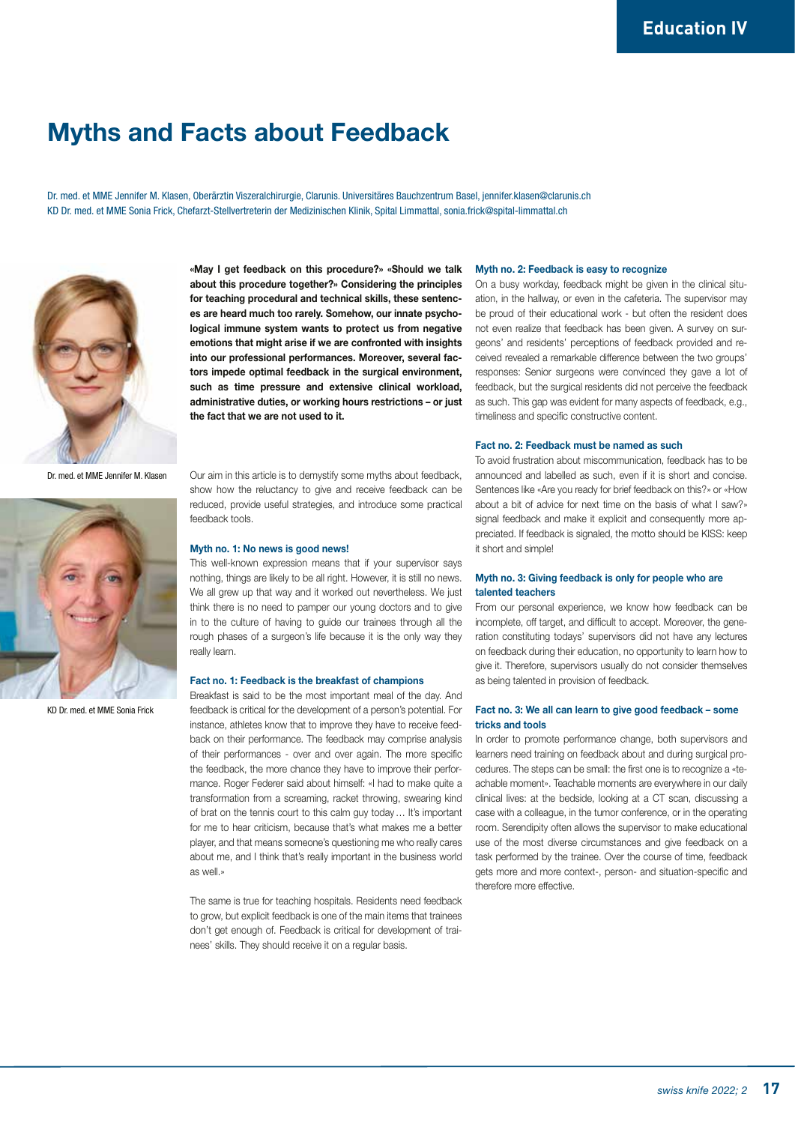## Myths and Facts about Feedback

Dr. med. et MME Jennifer M. Klasen, Oberärztin Viszeralchirurgie, Clarunis. Universitäres Bauchzentrum Basel, jennifer.klasen@clarunis.ch KD Dr. med. et MME Sonia Frick, Chefarzt-Stellvertreterin der Medizinischen Klinik, Spital Limmattal, sonia.frick@spital-limmattal.ch



«May I get feedback on this procedure?» «Should we talk about this procedure together?» Considering the principles for teaching procedural and technical skills, these sentences are heard much too rarely. Somehow, our innate psychological immune system wants to protect us from negative emotions that might arise if we are confronted with insights into our professional performances. Moreover, several factors impede optimal feedback in the surgical environment, such as time pressure and extensive clinical workload, administrative duties, or working hours restrictions – or just the fact that we are not used to it.

Dr. med. et MME Jennifer M. Klasen



KD Dr. med. et MME Sonia Frick

Our aim in this article is to demystify some myths about feedback, show how the reluctancy to give and receive feedback can be reduced, provide useful strategies, and introduce some practical feedback tools.

### Myth no. 1: No news is good news!

This well-known expression means that if your supervisor says nothing, things are likely to be all right. However, it is still no news. We all grew up that way and it worked out nevertheless. We just think there is no need to pamper our young doctors and to give in to the culture of having to guide our trainees through all the rough phases of a surgeon's life because it is the only way they really learn.

### Fact no. 1: Feedback is the breakfast of champions

Breakfast is said to be the most important meal of the day. And feedback is critical for the development of a person's potential. For instance, athletes know that to improve they have to receive feedback on their performance. The feedback may comprise analysis of their performances - over and over again. The more specific the feedback, the more chance they have to improve their performance. Roger Federer said about himself: «I had to make quite a transformation from a screaming, racket throwing, swearing kind of brat on the tennis court to this calm guy today… It's important for me to hear criticism, because that's what makes me a better player, and that means someone's questioning me who really cares about me, and I think that's really important in the business world as well.»

The same is true for teaching hospitals. Residents need feedback to grow, but explicit feedback is one of the main items that trainees don't get enough of. Feedback is critical for development of trainees' skills. They should receive it on a regular basis.

### Myth no. 2: Feedback is easy to recognize

On a busy workday, feedback might be given in the clinical situation, in the hallway, or even in the cafeteria. The supervisor may be proud of their educational work - but often the resident does not even realize that feedback has been given. A survey on surgeons' and residents' perceptions of feedback provided and received revealed a remarkable difference between the two groups' responses: Senior surgeons were convinced they gave a lot of feedback, but the surgical residents did not perceive the feedback as such. This gap was evident for many aspects of feedback, e.g., timeliness and specific constructive content.

### Fact no. 2: Feedback must be named as such

To avoid frustration about miscommunication, feedback has to be announced and labelled as such, even if it is short and concise. Sentences like «Are you ready for brief feedback on this?» or «How about a bit of advice for next time on the basis of what I saw?» signal feedback and make it explicit and consequently more appreciated. If feedback is signaled, the motto should be KISS: keep it short and simple!

### Myth no. 3: Giving feedback is only for people who are talented teachers

From our personal experience, we know how feedback can be incomplete, off target, and difficult to accept. Moreover, the generation constituting todays' supervisors did not have any lectures on feedback during their education, no opportunity to learn how to give it. Therefore, supervisors usually do not consider themselves as being talented in provision of feedback.

### Fact no. 3: We all can learn to give good feedback – some tricks and tools

In order to promote performance change, both supervisors and learners need training on feedback about and during surgical procedures. The steps can be small: the first one is to recognize a «teachable moment». Teachable moments are everywhere in our daily clinical lives: at the bedside, looking at a CT scan, discussing a case with a colleague, in the tumor conference, or in the operating room. Serendipity often allows the supervisor to make educational use of the most diverse circumstances and give feedback on a task performed by the trainee. Over the course of time, feedback gets more and more context-, person- and situation-specific and therefore more effective.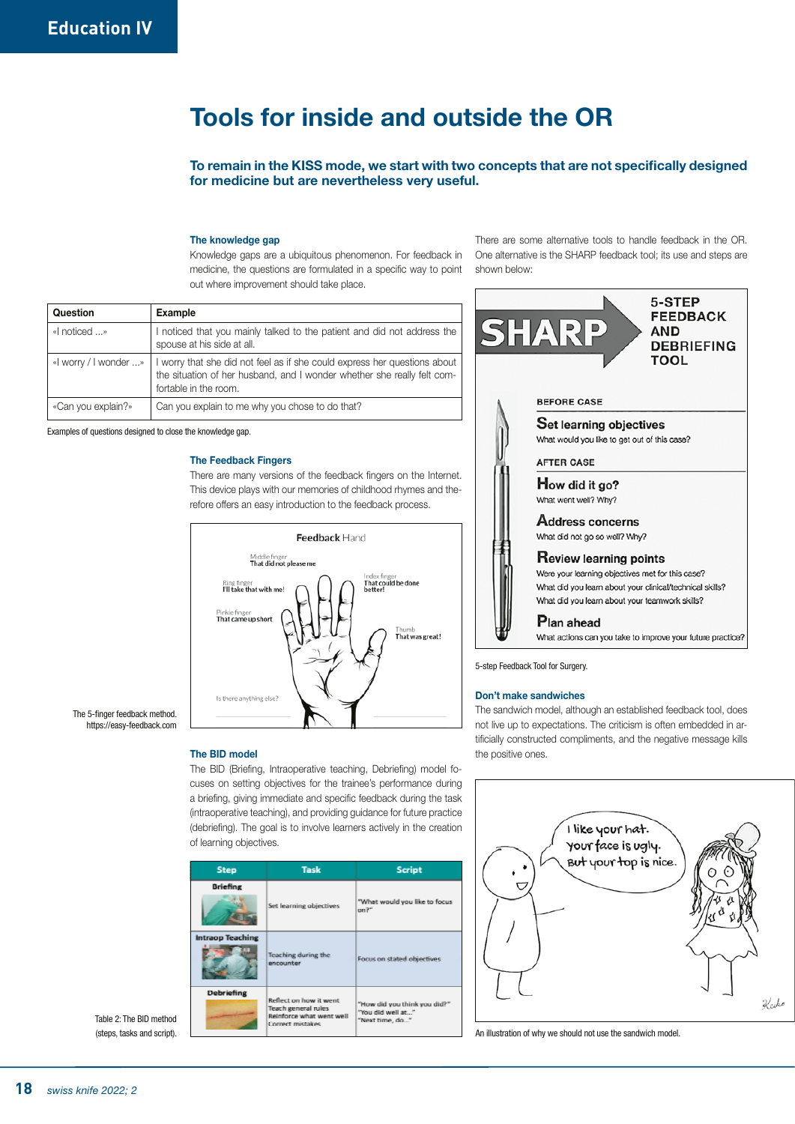# Tools for inside and outside the OR

To remain in the KISS mode, we start with two concepts that are not specifically designed for medicine but are nevertheless very useful.

### The knowledge gap

Knowledge gaps are a ubiquitous phenomenon. For feedback in medicine, the questions are formulated in a specific way to point out where improvement should take place.

There are some alternative tools to handle feedback in the OR. One alternative is the SHARP feedback tool; its use and steps are shown below:

| Question              | Example                                                                                                                                                                       |
|-----------------------|-------------------------------------------------------------------------------------------------------------------------------------------------------------------------------|
| «I noticed »          | I noticed that you mainly talked to the patient and did not address the<br>spouse at his side at all.                                                                         |
| «I worry / I wonder » | I worry that she did not feel as if she could express her questions about<br>the situation of her husband, and I wonder whether she really felt com-<br>fortable in the room. |
| «Can you explain?»    | Can you explain to me why you chose to do that?                                                                                                                               |

Examples of questions designed to close the knowledge gap.

### The Feedback Fingers



There are many versions of the feedback fingers on the Internet. This device plays with our memories of childhood rhymes and the-

The 5-finger feedback method. https://easy-feedback.com

The BID model

The BID (Briefing, Intraoperative teaching, Debriefing) model focuses on setting objectives for the trainee's performance during a briefing, giving immediate and specific feedback during the task (intraoperative teaching), and providing guidance for future practice (debriefing). The goal is to involve learners actively in the creation of learning objectives.

| <b>Step</b>             | <b>Task</b>                                                                                          | <b>Script</b>                                                        |
|-------------------------|------------------------------------------------------------------------------------------------------|----------------------------------------------------------------------|
| <b>Briefing</b>         | Set learning objectives                                                                              | "What would you like to focus<br>on <sup>2</sup>                     |
| <b>Intraop Teaching</b> | Teaching during the<br>encounter                                                                     | Focus on stated objectives                                           |
| Debriefing              | Reflect on how it went<br>Teach general rules<br>Reinforce what went well<br><b>Correct mistakes</b> | "How did you think you did?"<br>"You did well at"<br>"Next time, do" |

Table 2: The BID method (steps, tasks and script).



5-step Feedback Tool for Surgery.

### Don't make sandwiches

The sandwich model, although an established feedback tool, does not live up to expectations. The criticism is often embedded in artificially constructed compliments, and the negative message kills the positive ones.



An illustration of why we should not use the sandwich model.